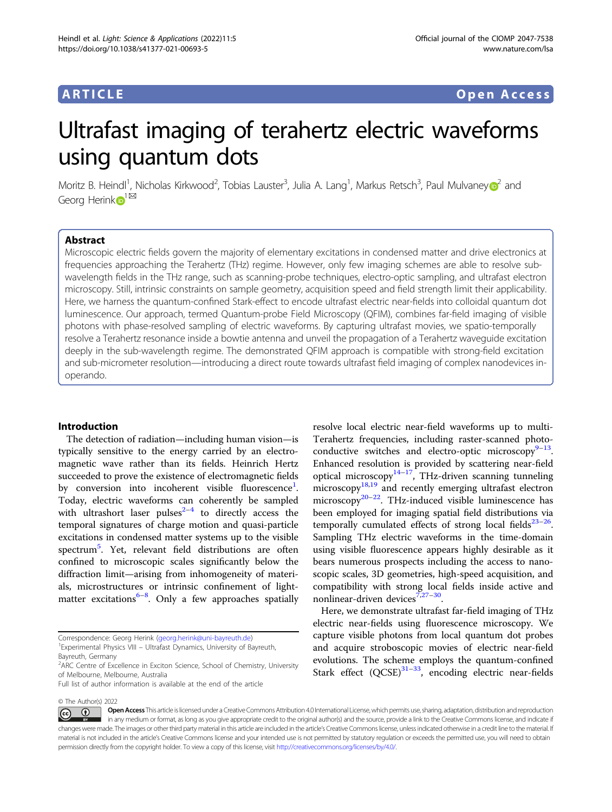## ARTICLE Open Access

# Ultrafast imaging of terahertz electric waveforms using quantum dots

Moritz B. Heindl<sup>1</sup>, Nicholas Kirkwood<sup>2</sup>, Tobias Lauster<sup>3</sup>, Julia A. Lang<sup>1</sup>, Markus Retsch<sup>3</sup>, Paul Mulvane[y](http://orcid.org/0000-0002-8007-3247)@<sup>[2](http://orcid.org/0000-0002-8007-3247)</sup> and Georg Herin[k](http://orcid.org/0000-0001-6649-534X) $\mathbf{D}^{1^{\boxtimes 1}}$  $\mathbf{D}^{1^{\boxtimes 1}}$  $\mathbf{D}^{1^{\boxtimes 1}}$ 

### Abstract

Microscopic electric fields govern the majority of elementary excitations in condensed matter and drive electronics at frequencies approaching the Terahertz (THz) regime. However, only few imaging schemes are able to resolve subwavelength fields in the THz range, such as scanning-probe techniques, electro-optic sampling, and ultrafast electron microscopy. Still, intrinsic constraints on sample geometry, acquisition speed and field strength limit their applicability. Here, we harness the quantum-confined Stark-effect to encode ultrafast electric near-fields into colloidal quantum dot luminescence. Our approach, termed Quantum-probe Field Microscopy (QFIM), combines far-field imaging of visible photons with phase-resolved sampling of electric waveforms. By capturing ultrafast movies, we spatio-temporally resolve a Terahertz resonance inside a bowtie antenna and unveil the propagation of a Terahertz waveguide excitation deeply in the sub-wavelength regime. The demonstrated QFIM approach is compatible with strong-field excitation and sub-micrometer resolution—introducing a direct route towards ultrafast field imaging of complex nanodevices inoperando.

#### Introduction

The detection of radiation—including human vision—is typically sensitive to the energy carried by an electromagnetic wave rather than its fields. Heinrich Hertz succeeded to prove the existence of electromagnetic fields by conversion into incoherent visible fluorescence<sup>[1](#page-4-0)</sup>. Today, electric waveforms can coherently be sampled with ultrashort laser pulses $2-4$  $2-4$  $2-4$  to directly access the temporal signatures of charge motion and quasi-particle excitations in condensed matter systems up to the visible spectrum<sup>[5](#page-4-0)</sup>. Yet, relevant field distributions are often confined to microscopic scales significantly below the diffraction limit—arising from inhomogeneity of materials, microstructures or intrinsic confinement of light-matter excitations<sup>[6](#page-4-0)-[8](#page-4-0)</sup>. Only a few approaches spatially

Experimental Physics VIII – Ultrafast Dynamics, University of Bayreuth, Bayreuth, Germany

© The Author(s) 2022

resolve local electric near-field waveforms up to multi-Terahertz frequencies, including raster-scanned photoconductive switches and electro-optic microscopy $9-13$  $9-13$  $9-13$ . Enhanced resolution is provided by scattering near-field optical microscopy $14-17$  $14-17$ , THz-driven scanning tunneling microscopy $18,19$  and recently emerging ultrafast electron microscopy<sup>[20](#page-5-0)–[22](#page-5-0)</sup>. THz-induced visible luminescence has been employed for imaging spatial field distributions via temporally cumulated effects of strong local fields $23-26$  $23-26$  $23-26$ . Sampling THz electric waveforms in the time-domain using visible fluorescence appears highly desirable as it bears numerous prospects including the access to nanoscopic scales, 3D geometries, high-speed acquisition, and compatibility with strong local fields inside active and nonlinear-driven devices $7,27-30$  $7,27-30$  $7,27-30$  $7,27-30$ .

Here, we demonstrate ultrafast far-field imaging of THz electric near-fields using fluorescence microscopy. We capture visible photons from local quantum dot probes and acquire stroboscopic movies of electric near-field evolutions. The scheme employs the quantum-confined Stark effect  $(QCSE)^{31-33}$  $(QCSE)^{31-33}$  $(QCSE)^{31-33}$ , encoding electric near-fields

Open Access This article is licensed under a Creative Commons Attribution 4.0 International License, which permits use, sharing, adaptation, distribution and reproduction  $\bigcirc$  $\left[{\rm (cc)}\right]$ in any medium or format, as long as you give appropriate credit to the original author(s) and the source, provide a link to the Creative Commons license, and indicate if changes were made. The images or other third party material in this article are included in the article's Creative Commons license, unless indicated otherwise in a credit line to the material. If material is not included in the article's Creative Commons license and your intended use is not permitted by statutory regulation or exceeds the permitted use, you will need to obtain permission directly from the copyright holder. To view a copy of this license, visit <http://creativecommons.org/licenses/by/4.0/>.

Correspondence: Georg Herink [\(georg.herink@uni-bayreuth.de](mailto:georg.herink@uni-bayreuth.de)) <sup>1</sup>

<sup>&</sup>lt;sup>2</sup>ARC Centre of Excellence in Exciton Science, School of Chemistry, University of Melbourne, Melbourne, Australia

Full list of author information is available at the end of the article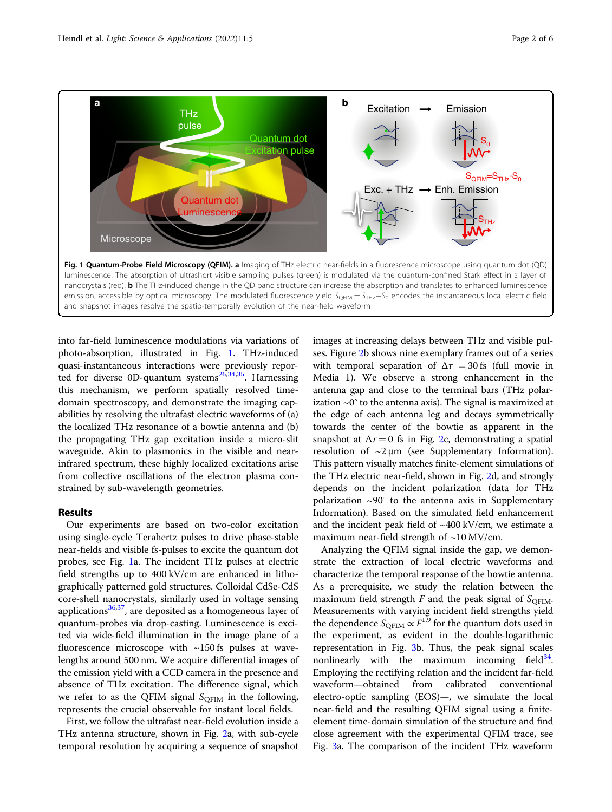

into far-field luminescence modulations via variations of photo-absorption, illustrated in Fig. 1. THz-induced quasi-instantaneous interactions were previously reported for diverse 0D-quantum systems $26,34,35$  $26,34,35$  $26,34,35$  $26,34,35$  $26,34,35$ . Harnessing this mechanism, we perform spatially resolved timedomain spectroscopy, and demonstrate the imaging capabilities by resolving the ultrafast electric waveforms of (a) the localized THz resonance of a bowtie antenna and (b) the propagating THz gap excitation inside a micro-slit waveguide. Akin to plasmonics in the visible and nearinfrared spectrum, these highly localized excitations arise from collective oscillations of the electron plasma constrained by sub-wavelength geometries.

#### Results

Our experiments are based on two-color excitation using single-cycle Terahertz pulses to drive phase-stable near-fields and visible fs-pulses to excite the quantum dot probes, see Fig. 1a. The incident THz pulses at electric field strengths up to 400 kV/cm are enhanced in lithographically patterned gold structures. Colloidal CdSe-CdS core-shell nanocrystals, similarly used in voltage sensing applications<sup>[36,37](#page-5-0)</sup>, are deposited as a homogeneous layer of quantum-probes via drop-casting. Luminescence is excited via wide-field illumination in the image plane of a fluorescence microscope with  $\sim$ 150 fs pulses at wavelengths around 500 nm. We acquire differential images of the emission yield with a CCD camera in the presence and absence of THz excitation. The difference signal, which we refer to as the QFIM signal  $S_{\text{OFIM}}$  in the following, represents the crucial observable for instant local fields.

First, we follow the ultrafast near-field evolution inside a THz antenna structure, shown in Fig. [2](#page-2-0)a, with sub-cycle temporal resolution by acquiring a sequence of snapshot images at increasing delays between THz and visible pulses. Figure [2](#page-2-0)b shows nine exemplary frames out of a series with temporal separation of  $\Delta \tau = 30$  fs (full movie in Media 1). We observe a strong enhancement in the antenna gap and close to the terminal bars (THz polarization  $\sim 0^\circ$  to the antenna axis). The signal is maximized at the edge of each antenna leg and decays symmetrically towards the center of the bowtie as apparent in the snapshot at  $\Delta \tau = 0$  fs in Fig. [2](#page-2-0)c, demonstrating a spatial resolution of  $\sim$ 2 µm (see Supplementary Information). This pattern visually matches finite-element simulations of the THz electric near-field, shown in Fig. [2](#page-2-0)d, and strongly depends on the incident polarization (data for THz polarization  $\sim 90^\circ$  to the antenna axis in Supplementary Information). Based on the simulated field enhancement and the incident peak field of  $~400$  kV/cm, we estimate a maximum near-field strength of  $\sim$  10 MV/cm.

Analyzing the QFIM signal inside the gap, we demonstrate the extraction of local electric waveforms and characterize the temporal response of the bowtie antenna. As a prerequisite, we study the relation between the maximum field strength  $F$  and the peak signal of  $S_{\text{OFIM}}$ . Measurements with varying incident field strengths yield the dependence  $S_{\text{QFIM}} \propto F^{1.9}$  for the quantum dots used in the experiment as evident in the double-logarithmic the experiment, as evident in the double-logarithmic representation in Fig. [3](#page-2-0)b. Thus, the peak signal scales nonlinearly with the maximum incoming field $34$ . Employing the rectifying relation and the incident far-field waveform—obtained from calibrated conventional electro-optic sampling (EOS)—, we simulate the local near-field and the resulting QFIM signal using a finiteelement time-domain simulation of the structure and find close agreement with the experimental QFIM trace, see Fig. [3](#page-2-0)a. The comparison of the incident THz waveform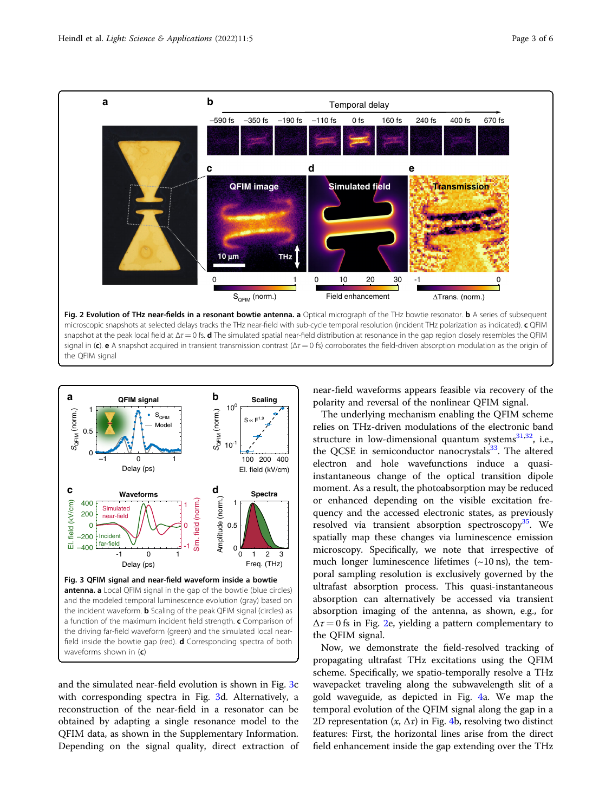<span id="page-2-0"></span>

snapshot at the peak local field at  $\Delta \tau = 0$  fs. **d** The simulated spatial near-field distribution at resonance in the gap region closely resembles the QFIM signal in (c). e A snapshot acquired in transient transmission contrast ( $\Delta \tau = 0$  fs) corroborates the field-driven absorption modulation as the origin of the QFIM signal



and the simulated near-field evolution is shown in Fig. 3c with corresponding spectra in Fig. 3d. Alternatively, a reconstruction of the near-field in a resonator can be obtained by adapting a single resonance model to the QFIM data, as shown in the Supplementary Information. Depending on the signal quality, direct extraction of near-field waveforms appears feasible via recovery of the polarity and reversal of the nonlinear QFIM signal.

The underlying mechanism enabling the QFIM scheme relies on THz-driven modulations of the electronic band structure in low-dimensional quantum systems $31,32$ , i.e., the QCSE in semiconductor nanocrystals $33$ . The altered electron and hole wavefunctions induce a quasiinstantaneous change of the optical transition dipole moment. As a result, the photoabsorption may be reduced or enhanced depending on the visible excitation frequency and the accessed electronic states, as previously resolved via transient absorption spectroscopy<sup>[35](#page-5-0)</sup>. We spatially map these changes via luminescence emission microscopy. Specifically, we note that irrespective of much longer luminescence lifetimes  $(\sim 10 \text{ ns})$ , the temporal sampling resolution is exclusively governed by the ultrafast absorption process. This quasi-instantaneous absorption can alternatively be accessed via transient absorption imaging of the antenna, as shown, e.g., for  $\Delta \tau = 0$  fs in Fig. 2e, yielding a pattern complementary to the QFIM signal.

Now, we demonstrate the field-resolved tracking of propagating ultrafast THz excitations using the QFIM scheme. Specifically, we spatio-temporally resolve a THz wavepacket traveling along the subwavelength slit of a gold waveguide, as depicted in Fig. [4](#page-3-0)a. We map the temporal evolution of the QFIM signal along the gap in a 2D representation  $(x, \Delta \tau)$  in Fig. [4b](#page-3-0), resolving two distinct features: First, the horizontal lines arise from the direct field enhancement inside the gap extending over the THz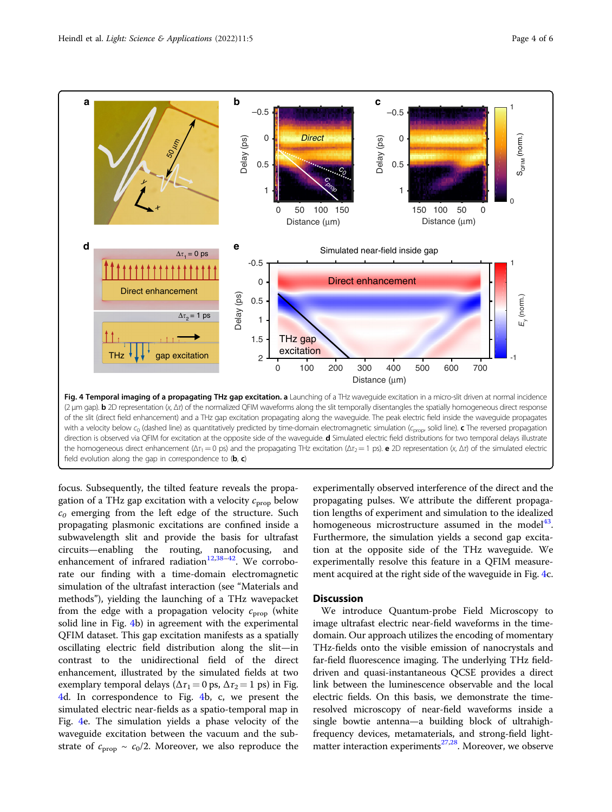<span id="page-3-0"></span>

focus. Subsequently, the tilted feature reveals the propagation of a THz gap excitation with a velocity  $c_{\text{prop}}$  below  $c_0$  emerging from the left edge of the structure. Such propagating plasmonic excitations are confined inside a subwavelength slit and provide the basis for ultrafast circuits—enabling the routing, nanofocusing, and enhancement of infrared radiation<sup>[12,38](#page-5-0)-[42](#page-5-0)</sup>. We corroborate our finding with a time-domain electromagnetic simulation of the ultrafast interaction (see "Materials and methods"), yielding the launching of a THz wavepacket from the edge with a propagation velocity  $c_{\text{prop}}$  (white solid line in Fig. 4b) in agreement with the experimental QFIM dataset. This gap excitation manifests as a spatially oscillating electric field distribution along the slit—in contrast to the unidirectional field of the direct enhancement, illustrated by the simulated fields at two exemplary temporal delays ( $\Delta \tau_1 = 0$  ps,  $\Delta \tau_2 = 1$  ps) in Fig. 4d. In correspondence to Fig. 4b, c, we present the simulated electric near-fields as a spatio-temporal map in Fig. 4e. The simulation yields a phase velocity of the waveguide excitation between the vacuum and the substrate of  $c_{\text{prop}} \sim c_0/2$ . Moreover, we also reproduce the experimentally observed interference of the direct and the propagating pulses. We attribute the different propagation lengths of experiment and simulation to the idealized homogeneous microstructure assumed in the model $43$ . Furthermore, the simulation yields a second gap excitation at the opposite side of the THz waveguide. We experimentally resolve this feature in a QFIM measurement acquired at the right side of the waveguide in Fig. 4c.

#### **Discussion**

We introduce Quantum-probe Field Microscopy to image ultrafast electric near-field waveforms in the timedomain. Our approach utilizes the encoding of momentary THz-fields onto the visible emission of nanocrystals and far-field fluorescence imaging. The underlying THz fielddriven and quasi-instantaneous QCSE provides a direct link between the luminescence observable and the local electric fields. On this basis, we demonstrate the timeresolved microscopy of near-field waveforms inside a single bowtie antenna—a building block of ultrahighfrequency devices, metamaterials, and strong-field lightmatter interaction experiments<sup>27,28</sup>. Moreover, we observe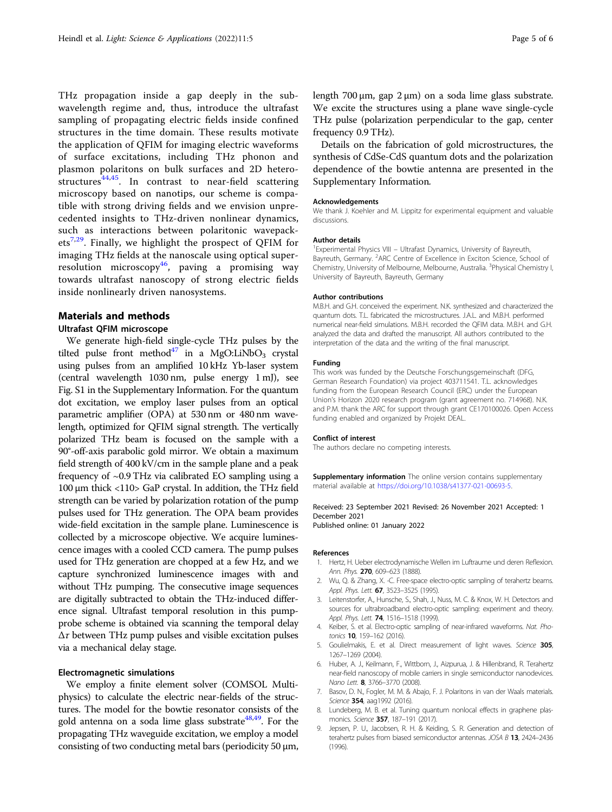<span id="page-4-0"></span>THz propagation inside a gap deeply in the subwavelength regime and, thus, introduce the ultrafast sampling of propagating electric fields inside confined structures in the time domain. These results motivate the application of QFIM for imaging electric waveforms of surface excitations, including THz phonon and plasmon polaritons on bulk surfaces and 2D hetero-structures<sup>[44](#page-5-0),45</sup>. In contrast to near-field scattering microscopy based on nanotips, our scheme is compatible with strong driving fields and we envision unprecedented insights to THz-driven nonlinear dynamics, such as interactions between polaritonic wavepack $ets^{7,29}$ . Finally, we highlight the prospect of QFIM for imaging THz fields at the nanoscale using optical super-resolution microscopy<sup>[46](#page-5-0)</sup>, paving a promising way towards ultrafast nanoscopy of strong electric fields inside nonlinearly driven nanosystems.

#### Materials and methods

#### Ultrafast QFIM microscope

We generate high-field single-cycle THz pulses by the tilted pulse front method<sup>[47](#page-5-0)</sup> in a MgO:LiNbO<sub>3</sub> crystal using pulses from an amplified 10 kHz Yb-laser system (central wavelength 1030 nm, pulse energy 1 mJ), see Fig. S1 in the Supplementary Information. For the quantum dot excitation, we employ laser pulses from an optical parametric amplifier (OPA) at 530 nm or 480 nm wavelength, optimized for QFIM signal strength. The vertically polarized THz beam is focused on the sample with a 90°-off-axis parabolic gold mirror. We obtain a maximum field strength of 400 kV/cm in the sample plane and a peak frequency of ~0.9 THz via calibrated EO sampling using a 100 µm thick <110> GaP crystal. In addition, the THz field strength can be varied by polarization rotation of the pump pulses used for THz generation. The OPA beam provides wide-field excitation in the sample plane. Luminescence is collected by a microscope objective. We acquire luminescence images with a cooled CCD camera. The pump pulses used for THz generation are chopped at a few Hz, and we capture synchronized luminescence images with and without THz pumping. The consecutive image sequences are digitally subtracted to obtain the THz-induced difference signal. Ultrafast temporal resolution in this pumpprobe scheme is obtained via scanning the temporal delay  $\Delta \tau$  between THz pump pulses and visible excitation pulses via a mechanical delay stage.

#### Electromagnetic simulations

We employ a finite element solver (COMSOL Multiphysics) to calculate the electric near-fields of the structures. The model for the bowtie resonator consists of the gold antenna on a soda lime glass substrate<sup>48,49</sup>. For the propagating THz waveguide excitation, we employ a model consisting of two conducting metal bars (periodicity 50  $\mu$ m, length  $700 \mu m$ , gap  $2 \mu m$ ) on a soda lime glass substrate. We excite the structures using a plane wave single-cycle THz pulse (polarization perpendicular to the gap, center frequency 0.9 THz).

Details on the fabrication of gold microstructures, the synthesis of CdSe-CdS quantum dots and the polarization dependence of the bowtie antenna are presented in the Supplementary Information.

#### Acknowledgements

We thank J. Koehler and M. Lippitz for experimental equipment and valuable discussions.

#### Author details

<sup>1</sup> Experimental Physics VIII - Ultrafast Dynamics, University of Bayreuth Bayreuth, Germany. <sup>2</sup>ARC Centre of Excellence in Exciton Science, School of Chemistry, University of Melbourne, Melbourne, Australia. <sup>3</sup>Physical Chemistry I, University of Bayreuth, Bayreuth, Germany

#### Author contributions

M.B.H. and G.H. conceived the experiment. N.K. synthesized and characterized the quantum dots. T.L. fabricated the microstructures. J.A.L. and M.B.H. performed numerical near-field simulations. M.B.H. recorded the QFIM data. M.B.H. and G.H. analyzed the data and drafted the manuscript. All authors contributed to the interpretation of the data and the writing of the final manuscript.

#### Funding

This work was funded by the Deutsche Forschungsgemeinschaft (DFG, German Research Foundation) via project 403711541. T.L. acknowledges funding from the European Research Council (ERC) under the European Union's Horizon 2020 research program (grant agreement no. 714968). N.K. and P.M. thank the ARC for support through grant CE170100026. Open Access funding enabled and organized by Projekt DEAL.

#### Conflict of interest

The authors declare no competing interests.

**Supplementary information** The online version contains supplementary material available at <https://doi.org/10.1038/s41377-021-00693-5>.

#### Received: 23 September 2021 Revised: 26 November 2021 Accepted: 1 December 2021

Published online: 01 January 2022

#### References

- 1. Hertz, H. Ueber electrodynamische Wellen im Luftraume und deren Reflexion. Ann. Phys. 270, 609-623 (1888).
- 2. Wu, Q. & Zhang, X. -C. Free-space electro-optic sampling of terahertz beams. Appl. Phys. Lett. **67**, 3523-3525 (1995).
- 3. Leitenstorfer, A., Hunsche, S., Shah, J., Nuss, M. C. & Knox, W. H. Detectors and sources for ultrabroadband electro-optic sampling: experiment and theory. Appl. Phys. Lett. 74, 1516-1518 (1999).
- 4. Keiber, S. et al. Electro-optic sampling of near-infrared waveforms. Nat. Photonics 10, 159–162 (2016).
- 5. Goulielmakis, E. et al. Direct measurement of light waves. Science 305, 1267–1269 (2004).
- 6. Huber, A. J., Keilmann, F., Wittborn, J., Aizpurua, J. & Hillenbrand, R. Terahertz near-field nanoscopy of mobile carriers in single semiconductor nanodevices. Nano Lett. 8, 3766–3770 (2008).
- 7. Basov, D. N., Fogler, M. M. & Abajo, F. J. Polaritons in van der Waals materials. Science 354, aag1992 (2016).
- 8. Lundeberg, M. B. et al. Tuning quantum nonlocal effects in graphene plasmonics. Science 357, 187-191 (2017).
- 9. Jepsen, P. U., Jacobsen, R. H. & Keiding, S. R. Generation and detection of terahertz pulses from biased semiconductor antennas. JOSA B 13, 2424-2436 (1996).